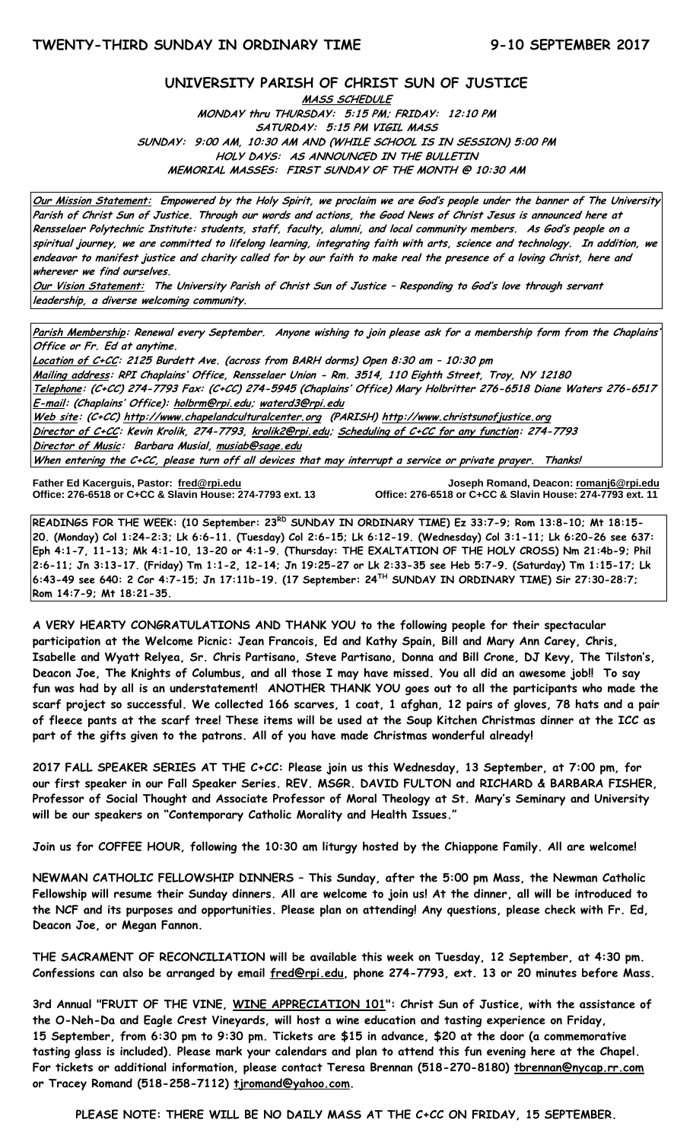## **UNIVERSITY PARISH OF CHRIST SUN OF JUSTICE**

**MASS SCHEDULE MONDAY thru THURSDAY: 5:15 PM; FRIDAY: 12:10 PM SATURDAY: 5:15 PM VIGIL MASS SUNDAY: 9:00 AM, 10:30 AM AND (WHILE SCHOOL IS IN SESSION) 5:00 PM HOLY DAYS: AS ANNOUNCED IN THE BULLETIN MEMORIAL MASSES: FIRST SUNDAY OF THE MONTH @ 10:30 AM**

**Our Mission Statement: Empowered by the Holy Spirit, we proclaim we are God's people under the banner of The University Parish of Christ Sun of Justice. Through our words and actions, the Good News of Christ Jesus is announced here at Rensselaer Polytechnic Institute: students, staff, faculty, alumni, and local community members. As God's people on a spiritual journey, we are committed to lifelong learning, integrating faith with arts, science and technology. In addition, we endeavor to manifest justice and charity called for by our faith to make real the presence of a loving Christ, here and wherever we find ourselves.**

**Our Vision Statement: The University Parish of Christ Sun of Justice – Responding to God's love through servant leadership, a diverse welcoming community.**

**Parish Membership: Renewal every September. Anyone wishing to join please ask for a membership form from the Chaplains' Office or Fr. Ed at anytime.**

**Location of C+CC: 2125 Burdett Ave. (across from BARH dorms) Open 8:30 am – 10:30 pm Mailing address: RPI Chaplains' Office, Rensselaer Union - Rm. 3514, 110 Eighth Street, Troy, NY 12180 Telephone: (C+CC) 274-7793 Fax: (C+CC) 274-5945 (Chaplains' Office) Mary Holbritter 276-6518 Diane Waters 276-6517 E-mail: (Chaplains' Office): [holbrm@rpi.edu;](mailto:holbrm@rpi.edu) waterd3@rpi.edu Web site: (C+CC[\) http://www.chapelandculturalcenter.org](http://www.chapelandculturalcenter.org/) (PARISH) http://www.christsunofjustice.org Director of C+CC: Kevin Krolik, 274-7793, krolik2@rpi.edu; Scheduling of C+CC for any function: 274-7793 Director of Music: Barbara Musial, [musiab@sage.edu](mailto:musiab@sage.edu) When entering the C+CC, please turn off all devices that may interrupt a service or private prayer. Thanks!** 

Father Ed Kacerguis, Pastor: fred@rpi.edu **Office: 276-6518 or C+CC & Slavin House: 274-7793 ext. 13**  **Father Ed Kacerguis, Pastor: [fred@rpi.edu](mailto:fred@rpi.edu) Joseph Romand, Deacon[: romanj6@rpi.edu](mailto:romanj6@rpi.edu)**

**READINGS FOR THE WEEK: (10 September: 23RD SUNDAY IN ORDINARY TIME) Ez 33:7-9; Rom 13:8-10; Mt 18:15- 20. (Monday) Col 1:24-2:3; Lk 6:6-11. (Tuesday) Col 2:6-15; Lk 6:12-19. (Wednesday) Col 3:1-11; Lk 6:20-26 see 637: Eph 4:1-7, 11-13; Mk 4:1-10, 13-20 or 4:1-9. (Thursday: THE EXALTATION OF THE HOLY CROSS) Nm 21:4b-9; Phil 2:6-11; Jn 3:13-17. (Friday) Tm 1:1-2, 12-14; Jn 19:25-27 or Lk 2:33-35 see Heb 5:7-9. (Saturday) Tm 1:15-17; Lk 6:43-49 see 640: 2 Cor 4:7-15; Jn 17:11b-19. (17 September: 24TH SUNDAY IN ORDINARY TIME) Sir 27:30-28:7; Rom 14:7-9; Mt 18:21-35.**

**A VERY HEARTY CONGRATULATIONS AND THANK YOU to the following people for their spectacular participation at the Welcome Picnic: Jean Francois, Ed and Kathy Spain, Bill and Mary Ann Carey, Chris, Isabelle and Wyatt Relyea, Sr. Chris Partisano, Steve Partisano, Donna and Bill Crone, DJ Kevy, The Tilston's, Deacon Joe, The Knights of Columbus, and all those I may have missed. You all did an awesome job!! To say fun was had by all is an understatement! ANOTHER THANK YOU goes out to all the participants who made the scarf project so successful. We collected 166 scarves, 1 coat, 1 afghan, 12 pairs of gloves, 78 hats and a pair of fleece pants at the scarf tree! These items will be used at the Soup Kitchen Christmas dinner at the ICC as part of the gifts given to the patrons. All of you have made Christmas wonderful already!**

**2017 FALL SPEAKER SERIES AT THE C+CC: Please join us this Wednesday, 13 September, at 7:00 pm, for our first speaker in our Fall Speaker Series. REV. MSGR. DAVID FULTON and RICHARD & BARBARA FISHER, Professor of Social Thought and Associate Professor of Moral Theology at St. Mary's Seminary and University will be our speakers on "Contemporary Catholic Morality and Health Issues."**

**Join us for COFFEE HOUR, following the 10:30 am liturgy hosted by the Chiappone Family. All are welcome!**

**NEWMAN CATHOLIC FELLOWSHIP DINNERS – This Sunday, after the 5:00 pm Mass, the Newman Catholic Fellowship will resume their Sunday dinners. All are welcome to join us! At the dinner, all will be introduced to the NCF and its purposes and opportunities. Please plan on attending! Any questions, please check with Fr. Ed, Deacon Joe, or Megan Fannon.** 

**THE SACRAMENT OF RECONCILIATION will be available this week on Tuesday, 12 September, at 4:30 pm. Confessions can also be arranged by email [fred@rpi.edu,](mailto:fred@rpi.edu) phone 274-7793, ext. 13 or 20 minutes before Mass.**

**3rd Annual "FRUIT OF THE VINE, WINE APPRECIATION 101": Christ Sun of Justice, with the assistance of the O-Neh-Da and Eagle Crest Vineyards, will host a wine education and tasting experience on Friday, 15 September, from 6:30 pm to 9:30 pm. Tickets are \$15 in advance, \$20 at the door (a commemorative tasting glass is included). Please mark your calendars and plan to attend this fun evening here at the Chapel. For tickets or additional information, please contact Teresa Brennan (518-270-8180) [tbrennan@nycap.rr.com](mailto:tbrennan@nycap.rr.com) or Tracey Romand (518-258-7112) [tjromand@yahoo.com.](mailto:tjromand@yahoo.com)**